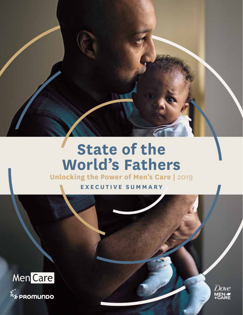# **State of the World's Fathers**

**Unlocking the Power of Men's Care |** 2019

**EXE CUTIVE SUMMARY**



፠\*<br><sup>※</sup>ix PROMUNDO

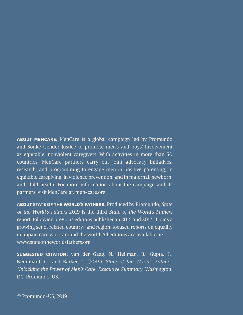**ABOUT MENCARE:** MenCare is a global campaign led by Promundo and Sonke Gender Justice to promote men's and boys' involvement as equitable, nonviolent caregivers. With activities in more than 50 countries, MenCare partners carry out joint advocacy initiatives, research, and programming to engage men in positive parenting, in equitable caregiving, in violence prevention, and in maternal, newborn, and child health. For more information about the campaign and its partners, visit MenCare at: [men-care.org](http://men-care.org)

**ABOUT STATE OF THE WORLD'S FATHERS:** Produced by Promundo, *State of the World's Fathers* 2019 is the third *State of the World's Fathers*  report, following previous editions published in 2015 and 2017. It joins a growing set of related country- and region-focused reports on equality in unpaid care work around the world. All editions are available at: [www.stateoftheworldsfathers.org.](http://www.stateoftheworldsfathers.org)

**SUGGESTED CITATION:** van der Gaag, N., Heilman, B., Gupta, T., Nembhard, C., and Barker, G. (2019). *State of the World's Fathers: Unlocking the Power of Men's Care: Executive Summary*. Washington, DC: Promundo-US.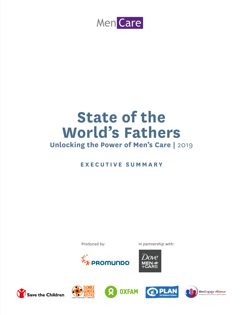

# **State of the World's Fathers**

# **Unlocking the Power of Men's Care |** 2019

# **EXE CUTIVE SUMMARY**

Produced by: In partnership with:











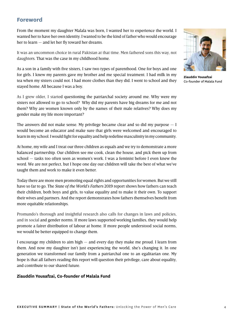#### **Foreword**

From the moment my daughter Malala was born, I wanted her to experience the world. I wanted her to have her own identity. I wanted to be the kind of father who would encourage her to learn — and let her fly toward her dreams.

It was an uncommon choice in rural Pakistan at that time. Men fathered sons this way, not daughters. That was the case in my childhood home.

As a son in a family with five sisters, I saw two types of parenthood. One for boys and one for girls. I knew my parents gave my brother and me special treatment. I had milk in my tea when my sisters could not. I had more clothes than they did. I went to school and they stayed home. All because I was a boy.

As I grew older, I started questioning the patriarchal society around me. Why were my sisters not allowed to go to school? Why did my parents have big dreams for me and not them? Why are women known only by the names of their male relatives? Why does my gender make my life more important?

The answers did not make sense. My privilege became clear and so did my purpose  $- I$ would become an educator and make sure that girls were welcomed and encouraged to learn in my school. I would fight for equality and help redefine masculinity in my community.

At home, my wife and I treat our three children as equals and we try to demonstrate a more balanced partnership. Our children see me cook, clean the house, and pick them up from school — tasks too often seen as women's work. I was a feminist before I even knew the word. We are not perfect, but I hope one day our children will take the best of what we've taught them and work to make it even better.

Today there are more men promoting equal rights and opportunities for women. But we still have so far to go. The *State of the World's Fathers* 2019 report shows how fathers can teach their children, both boys and girls, to value equality and to make it their own. To support their wives and partners. And the report demonstrates how fathers themselves benefit from more equitable relationships.

Promundo's thorough and insightful research also calls for changes in laws and policies, and in social and gender norms. If more laws supported working families, they would help promote a fairer distribution of labour at home. If more people understood social norms, we would be better equipped to change them.

I encourage my children to aim high — and every day they make me proud. I learn from them. And now my daughter isn't just experiencing the world, she's changing it. In one generation we transformed our family from a patriarchal one to an egalitarian one. My hope is that all fathers reading this report will question their privilege, care about equality, and contribute to our shared future.

#### **Ziauddin Yousafzai, Co-founder of Malala Fund**



**Ziauddin Yousafzai**  Co-founder of Malala Fund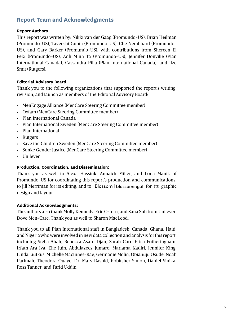# **Report Team and Acknowledgments**

#### **Report Authors**

This report was written by: Nikki van der Gaag (Promundo-US), Brian Heilman (Promundo-US), Taveeshi Gupta (Promundo-US), Ché Nembhard (Promundo-US), and Gary Barker (Promundo-US), with contributions from Shereen El Feki (Promundo-US), Anh Minh Ta (Promundo-US), Jennifer Donville (Plan International Canada), Cassandra Pilla (Plan International Canada), and Ilze Smit (Rutgers).

#### **Editorial Advisory Board**

Thank you to the following organizations that supported the report's writing, revision, and launch as members of the Editorial Advisory Board:

- MenEngage Alliance (MenCare Steering Committee member)
- Oxfam (MenCare Steering Committee member)
- Plan International Canada
- Plan International Sweden (MenCare Steering Committee member)
- Plan International
- Rutgers
- Save the Children Sweden (MenCare Steering Committee member)
- Sonke Gender Justice (MenCare Steering Committee member)
- Unilever

#### **Production, Coordination, and Dissemination:**

Thank you as well to Alexa Hassink, Annaick Miller, and Lona Manik of Promundo-US for coordinating this report's production and communications; to Jill Merriman for its editing; and to  $\overline{B}$  Blossom | blossoming it for its graphic design and layout.

#### **Additional Acknowledgments:**

The authors also thank Molly Kennedy, Eric Ostern, and Sana Suh from Unilever, Dove Men+Care. Thank you as well to Sharon MacLeod.

Thank you to all Plan International staff in Bangladesh, Canada, Ghana, Haiti, and Nigeria who were involved in new data collection and analysis for this report, including Stella Abah, Rebecca Asare-Djan, Sarah Carr, Erica Fotheringham, Irfath Ara Iva, Elie Juin, Abdulazeez Jumare, Mariama Kadiri, Jennifer King, Linda Liutkus, Michelle MacInnes-Rae, Germanie Molin, Obianuju Osude, Noah Parimah, Theodora Quaye, Dr. Mary Rashid, Robitsher Simon, Daniel Sinika, Ross Tanner, and Farid Uddin.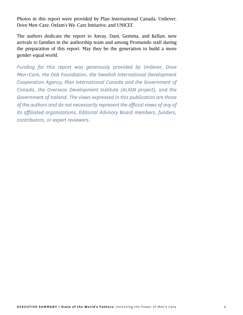Photos in this report were provided by Plan International Canada; Unilever, Dove Men+Care; Oxfam's We-Care Initiative; and UNICEF.

The authors dedicate the report to Anvay, Dani, Gemma, and Kellan, new arrivals to families in the authorship team and among Promundo staff during the preparation of this report. May they be the generation to build a more gender-equal world.

*Funding for this report was generously provided by Unilever, Dove Men+Care, the Oak Foundation, the Swedish International Development Cooperation Agency, Plan International Canada and the Government of Canada, the Overseas Development Institute (ALIGN project), and the Government of Iceland. The views expressed in this publication are those of the authors and do not necessarily represent the official views of any of its affiliated organizations, Editorial Advisory Board members, funders, contributors, or expert reviewers.*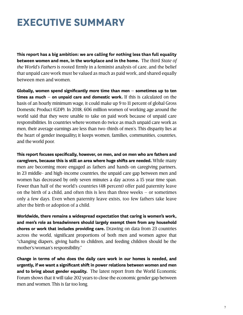# **EXECUTIVE SUMMARY**

**This report has a big ambition: we are calling for nothing less than full equality between women and men, in the workplace and in the home.** The third *State of the World's Fathers* is rooted firmly in a feminist analysis of care, and the belief that unpaid care work must be valued as much as paid work, and shared equally between men and women.

**Globally, women spend significantly more time than men – sometimes up to ten times as much – on unpaid care and domestic work.** If this is calculated on the basis of an hourly minimum wage, it could make up 9 to 11 percent of global Gross Domestic Product (GDP). In 2018, 606 million women of working age around the world said that they were unable to take on paid work because of unpaid care responsibilities. In countries where women do twice as much unpaid care work as men, their average earnings are less than two-thirds of men's. This disparity lies at the heart of gender inequality**;** it keeps women, families, communities, countries, and the world poor.

**This report focuses specifically, however, on men, and on men who are fathers and caregivers, because this is still an area where huge shifts are needed.** While many men are becoming more engaged as fathers and hands-on caregiving partners, in 23 middle- and high-income countries, the unpaid care gap between men and women has decreased by only seven minutes a day across a 15 year time span*.* Fewer than half of the world's countries (48 percent) offer paid paternity leave on the birth of a child, and often this is less than three weeks – or sometimes only a few days. Even when paternity leave exists, too few fathers take leave after the birth or adoption of a child.

**Worldwide, there remains a widespread expectation that caring is women's work, and men's role as breadwinners should largely exempt them from any household chores or work that includes providing care.** Drawing on data from 23 countries across the world, significant proportions of both men and women agree that "changing diapers, giving baths to children, and feeding children should be the mother's/woman's responsibility."

**Change in terms of who does the daily care work in our homes is needed, and urgently, if we want a significant shift in power relations between women and men and to bring about gender equality.** The latest report from the World Economic Forum shows that it will take 202 years to close the economic gender gap between men and women. This is far too long.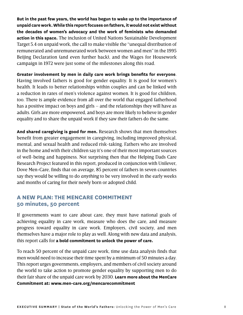**But in the past few years, the world has begun to wake up to the importance of unpaid care work. While this report focuses on fathers, it would not exist without the decades of women's advocacy and the work of feminists who demanded action in this space.** The inclusion of United Nations Sustainable Development Target 5.4 on unpaid work, the call to make visible the "unequal distribution of remunerated and unremunerated work between women and men" in the 1995 Beijing Declaration (and even further back), and the Wages for Housework campaign in 1972 were just some of the milestones along this road.

**Greater involvement by men in daily care work brings benefits for everyone**. Having involved fathers is good for gender equality. It is good for women's health. It leads to better relationships within couples and can be linked with a reduction in rates of men's violence against women. It is good for children, too. There is ample evidence from all over the world that engaged fatherhood has a positive impact on boys and girls – and the relationships they will have as adults. Girls are more empowered, and boys are more likely to believe in gender equality and to share the unpaid work if they saw their fathers do the same.

**And shared caregiving is good for men.** Research shows that men themselves benefit from greater engagement in caregiving, including improved physical, mental, and sexual health and reduced risk-taking. Fathers who are involved in the home and with their children say it's one of their most important sources of well-being and happiness. Not surprising then that the Helping Dads Care Research Project featured in this report, produced in conjunction with Unilever, Dove Men+Care, finds that on average, 85 percent of fathers in seven countries say they would be willing to do *anything* to be very involved in the early weeks and months of caring for their newly born or adopted child.

#### **A NEW PLAN: THE MENCARE COMMITMENT 50 minutes, 50 percent**

If governments want to care about care, they must have national goals of achieving equality in care work, measure who does the care, and measure progress toward equality in care work. Employers, civil society, and men themselves have a major role to play as well. Along with new data and analysis, this report calls for **a bold commitment to unlock the power of care.**

To reach 50 percent of the unpaid care work, time use data analysis finds that men would need to increase their time spent by a minimum of 50 minutes a day. This report urges governments, employers, and members of civil society around the world to take action to promote gender equality by supporting men to do their fair share of the unpaid care work by 2030. **Learn more about the MenCare Commitment at: www.men-care.org/mencarecommitment**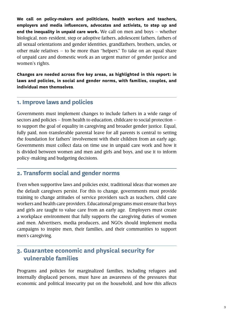**We call on policy-makers and politicians, health workers and teachers, employers and media influencers, advocates and activists, to step up and end the inequality in unpaid care work.** We call on men and boys – whether biological, non-resident, step or adoptive fathers, adolescent fathers, fathers of all sexual orientations and gender identities, grandfathers, brothers, uncles, or other male relatives – to be more than "helpers." To take on an equal share of unpaid care and domestic work as an urgent matter of gender justice and women's rights.

**Changes are needed across five key areas, as highlighted in this report: in laws and policies, in social and gender norms, with families, couples, and individual men themselves**.

### **1. Improve laws and policies**

Governments must implement changes to include fathers in a wide range of sectors and policies – from health to education, childcare to social protection – to support the goal of equality in caregiving and broader gender justice. Equal, fully paid, non-transferable parental leave for all parents is central to setting the foundation for fathers' involvement with their children from an early age. Governments must collect data on time use in unpaid care work and how it is divided between women and men and girls and boys, and use it to inform policy-making and budgeting decisions.

# **2. Transform social and gender norms**

Even when supportive laws and policies exist, traditional ideas that women are the default caregivers persist. For this to change, governments must provide training to change attitudes of service providers such as teachers, child care workers and health care providers. Educational programs must ensure that boys and girls are taught to value care from an early age. Employers must create a workplace environment that fully supports the caregiving duties of women and men. Advertisers, media producers, and NGOs should implement media campaigns to inspire men, their families, and their communities to support men's caregiving.

# **3. Guarantee economic and physical security for**   $$

Programs and policies for marginalized families, including refugees and internally displaced persons, must have an awareness of the pressures that economic and political insecurity put on the household, and how this affects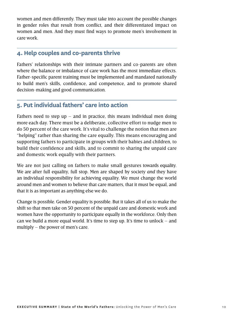women and men differently. They must take into account the possible changes in gender roles that result from conflict, and their differentiated impact on women and men. And they must find ways to promote men's involvement in care work.

# **4. Help couples and co-parents thrive**

Fathers' relationships with their intimate partners and co-parents are often where the balance or imbalance of care work has the most immediate effects. Father-specific parent training must be implemented and mandated nationally to build men's skills, confidence, and competence, and to promote shared decision-making and good communication.

### **5. Put individual fathers' care into action**

Fathers need to step up – and in practice, this means individual men doing more each day. There must be a deliberate, collective effort to nudge men to do 50 percent of the care work. It's vital to challenge the notion that men are "helping" rather than sharing the care equally. This means encouraging and supporting fathers to participate in groups with their babies and children, to build their confidence and skills, and to commit to sharing the unpaid care and domestic work equally with their partners.

We are not just calling on fathers to make small gestures towards equality. We are after full equality, full stop. Men are shaped by society *and* they have an individual responsibility for achieving equality. We must change the world around men and women to believe that care matters, that it must be equal, and that it is as important as anything else we do.

Change is possible. Gender equality is possible. But it takes all of us to make the shift so that men take on 50 percent of the unpaid care and domestic work and women have the opportunity to participate equally in the workforce. Only then can we build a more equal world. It's time to step up. It's time to unlock – and multiply – the power of men's care.